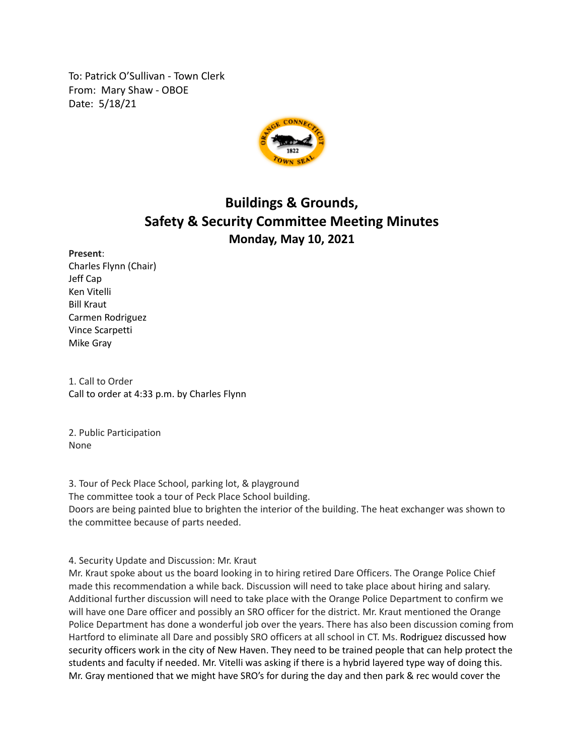To: Patrick O'Sullivan - Town Clerk From: Mary Shaw - OBOE Date: 5/18/21



## **Buildings & Grounds, Safety & Security Committee Meeting Minutes Monday, May 10, 2021**

## **Present**:

Charles Flynn (Chair) Jeff Cap Ken Vitelli Bill Kraut Carmen Rodriguez Vince Scarpetti Mike Gray

1. Call to Order Call to order at 4:33 p.m. by Charles Flynn

2. Public Participation None

3. Tour of Peck Place School, parking lot, & playground The committee took a tour of Peck Place School building. Doors are being painted blue to brighten the interior of the building. The heat exchanger was shown to the committee because of parts needed.

4. Security Update and Discussion: Mr. Kraut

Mr. Kraut spoke about us the board looking in to hiring retired Dare Officers. The Orange Police Chief made this recommendation a while back. Discussion will need to take place about hiring and salary. Additional further discussion will need to take place with the Orange Police Department to confirm we will have one Dare officer and possibly an SRO officer for the district. Mr. Kraut mentioned the Orange Police Department has done a wonderful job over the years. There has also been discussion coming from Hartford to eliminate all Dare and possibly SRO officers at all school in CT. Ms. Rodriguez discussed how security officers work in the city of New Haven. They need to be trained people that can help protect the students and faculty if needed. Mr. Vitelli was asking if there is a hybrid layered type way of doing this. Mr. Gray mentioned that we might have SRO's for during the day and then park & rec would cover the